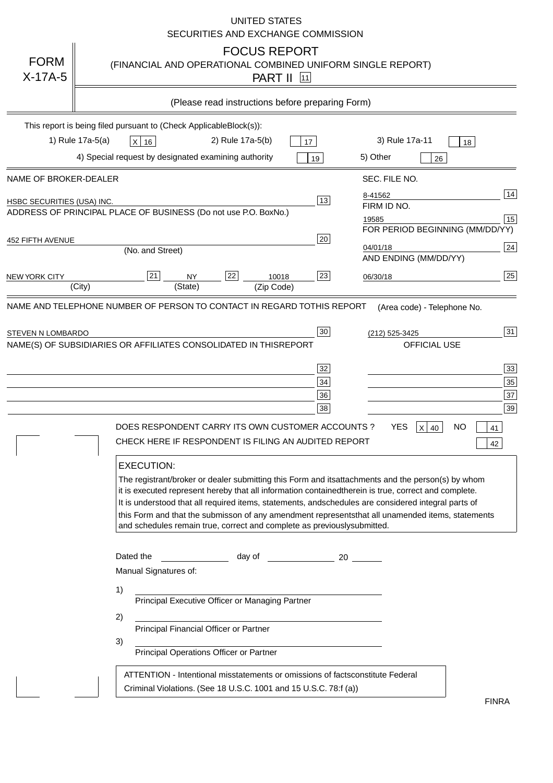|                            | <b>UNITED STATES</b><br>SECURITIES AND EXCHANGE COMMISSION                                                                                                                                                                                                                                                                                                                                                                                                                                                                                                                                                                                                                                                      |
|----------------------------|-----------------------------------------------------------------------------------------------------------------------------------------------------------------------------------------------------------------------------------------------------------------------------------------------------------------------------------------------------------------------------------------------------------------------------------------------------------------------------------------------------------------------------------------------------------------------------------------------------------------------------------------------------------------------------------------------------------------|
| <b>FORM</b><br>$X-17A-5$   | <b>FOCUS REPORT</b><br>(FINANCIAL AND OPERATIONAL COMBINED UNIFORM SINGLE REPORT)<br><b>PART II</b> [11]                                                                                                                                                                                                                                                                                                                                                                                                                                                                                                                                                                                                        |
|                            | (Please read instructions before preparing Form)                                                                                                                                                                                                                                                                                                                                                                                                                                                                                                                                                                                                                                                                |
|                            | This report is being filed pursuant to (Check Applicable<br>$Block(s)$ :<br>1) Rule 17a-5(a)<br>3) Rule 17a-11<br>2) Rule 17a-5(b)<br>$X$ 16<br>17<br>18<br>4) Special request by designated examining authority<br>5) Other<br>19<br>26                                                                                                                                                                                                                                                                                                                                                                                                                                                                        |
| NAME OF BROKER-DEALER      | SEC. FILE NO.                                                                                                                                                                                                                                                                                                                                                                                                                                                                                                                                                                                                                                                                                                   |
| HSBC SECURITIES (USA) INC. | 14<br>8-41562<br>13<br>FIRM ID NO.<br>ADDRESS OF PRINCIPAL PLACE OF BUSINESS (Do not use P.O. Box<br>No.)<br>15<br>19585<br>FOR PERIOD BEGINNING (MM/DD/YY)                                                                                                                                                                                                                                                                                                                                                                                                                                                                                                                                                     |
| <b>452 FIFTH AVENUE</b>    | 20<br> 24 <br>04/01/18<br>(No. and Street)<br>AND ENDING (MM/DD/YY)                                                                                                                                                                                                                                                                                                                                                                                                                                                                                                                                                                                                                                             |
| <b>NEW YORK CITY</b>       | 25<br>22<br>21<br>23<br><b>NY</b><br>10018<br>06/30/18<br>(City)<br>(State)<br>(Zip Code)                                                                                                                                                                                                                                                                                                                                                                                                                                                                                                                                                                                                                       |
| STEVEN N LOMBARDO          | 31<br>30<br>(212) 525-3425<br>NAME(S) OF SUBSIDIARIES OR AFFILIATES CONSOLIDATED IN THIS<br><b>REPORT</b><br><b>OFFICIAL USE</b><br>$\overline{33}$<br>32<br>35<br>$34$<br>37<br>36<br>39<br>38<br>$X$ 40<br>DOES RESPONDENT CARRY ITS OWN CUSTOMER ACCOUNTS?<br>YES<br>NO<br>41<br>CHECK HERE IF RESPONDENT IS FILING AN AUDITED REPORT<br>42<br><b>EXECUTION:</b><br>The registrant/broker or dealer submitting this Form and its<br>attachments and the person(s) by whom                                                                                                                                                                                                                                    |
|                            | it is executed represent hereby that all information contained<br>therein is true, correct and complete.<br>It is understood that all required items, statements, and<br>schedules are considered integral parts of<br>this Form and that the submisson of any amendment represents<br>that all unamended items, statements<br>and schedules remain true, correct and complete as previously<br>submitted.<br>Dated the<br>day of<br>20<br>Manual Signatures of:<br>1)<br>Principal Executive Officer or Managing Partner<br>2)<br>Principal Financial Officer or Partner<br>3)<br>Principal Operations Officer or Partner<br>constitute Federal<br>ATTENTION - Intentional misstatements or omissions of facts |
|                            | Criminal Violations. (See 18 U.S.C. 1001 and 15 U.S.C. 78:f (a)<br>$\lambda$<br><b>FINRA</b>                                                                                                                                                                                                                                                                                                                                                                                                                                                                                                                                                                                                                    |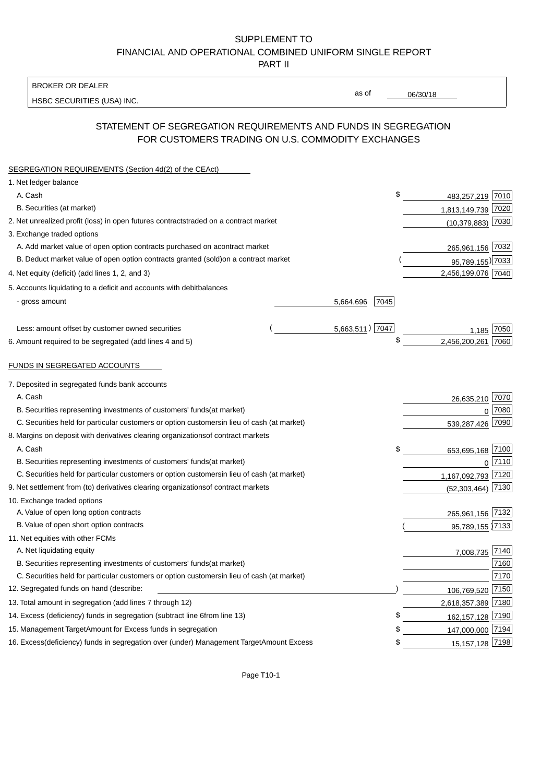BROKER OR DEALER

HSBC SECURITIES (USA) INC.

06/30/18

as of

## STATEMENT OF SEGREGATION REQUIREMENTS AND FUNDS IN SEGREGATION FOR CUSTOMERS TRADING ON U.S. COMMODITY EXCHANGES

| SEGREGATION REQUIREMENTS (Section 4d(2) of the CEAct)                                          |                             |  |
|------------------------------------------------------------------------------------------------|-----------------------------|--|
| 1. Net ledger balance                                                                          |                             |  |
| A. Cash                                                                                        | \$<br>483,257,219 7010      |  |
| B. Securities (at market)                                                                      | 1,813,149,739 7020          |  |
| 2. Net unrealized profit (loss) in open futures contracts<br>traded on a contract market       | $(10,379,883)$ 7030         |  |
| 3. Exchange traded options                                                                     |                             |  |
| A. Add market value of open option contracts purchased on a<br>contract market                 | 265,961,156 7032            |  |
| B. Deduct market value of open option contracts granted (sold)<br>on a contract market         | 95,789,155) 7033            |  |
| 4. Net equity (deficit) (add lines 1, 2, and 3)                                                | 2,456,199,076 7040          |  |
| 5. Accounts liquidating to a deficit and accounts with debit<br>balances                       |                             |  |
| - gross amount<br>5,664,696                                                                    | 7045                        |  |
|                                                                                                |                             |  |
| $5,663,511)$ 7047<br>Less: amount offset by customer owned securities                          | 7050<br>1,185               |  |
| 6. Amount required to be segregated (add lines 4 and 5)                                        | \$<br>2,456,200,261<br>7060 |  |
| FUNDS IN SEGREGATED ACCOUNTS                                                                   |                             |  |
| 7. Deposited in segregated funds bank accounts                                                 |                             |  |
| A. Cash                                                                                        | 26,635,210 7070             |  |
| B. Securities representing investments of customers' funds<br>(at market)                      | 7080<br>0                   |  |
| C. Securities held for particular customers or option customers<br>in lieu of cash (at market) | 539,287,426 7090            |  |
| 8. Margins on deposit with derivatives clearing organizations<br>of contract markets           |                             |  |
| A. Cash                                                                                        | \$<br>653,695,168 7100      |  |
| B. Securities representing investments of customers' funds<br>(at market)                      | $0$   $7110$                |  |
| C. Securities held for particular customers or option customers<br>in lieu of cash (at market) | 1,167,092,793<br> 7120      |  |
| 9. Net settlement from (to) derivatives clearing organizations<br>of contract markets          | $(52,303,464)$ 7130         |  |
| 10. Exchange traded options                                                                    |                             |  |
| A. Value of open long option contracts                                                         | 265,961,156 7132            |  |
| B. Value of open short option contracts                                                        | 95,789,155 7133             |  |
| 11. Net equities with other FCMs                                                               |                             |  |
| A. Net liquidating equity                                                                      | 7,008,735 7140              |  |
| B. Securities representing investments of customers' funds<br>(at market)                      | 7160                        |  |
| C. Securities held for particular customers or option customers<br>in lieu of cash (at market) | 7170                        |  |
| 12. Segregated funds on hand (describe:                                                        | 106,769,520 7150            |  |
| 13. Total amount in segregation (add lines 7 through 12)                                       | 2,618,357,389 7180          |  |
| 14. Excess (deficiency) funds in segregation (subtract line 6<br>from line 13)                 | \$<br>162,157,128 7190      |  |
| 15. Management Target Amount for Excess funds in segregation                                   | 147,000,000 7194<br>\$      |  |
| 16. Excess (deficiency) funds in segregation over (under) Management Target Amount Excess      | 15, 157, 128 7198<br>\$     |  |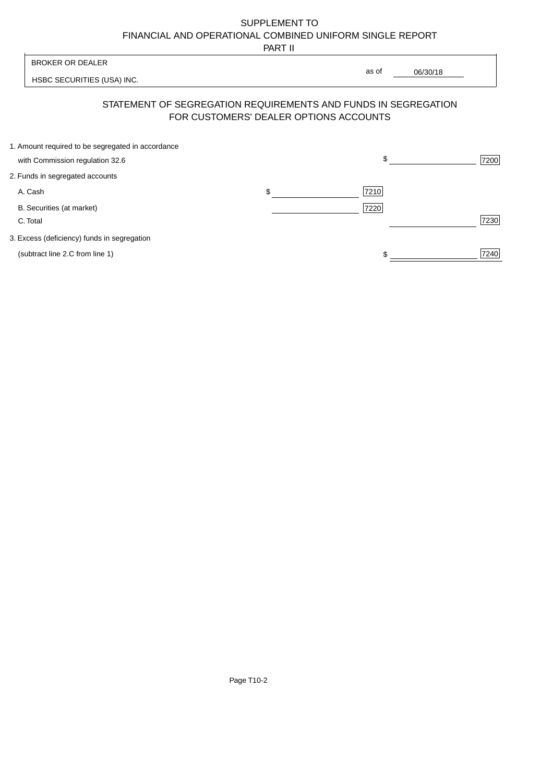PART II

|                                                                                      | 1 AB 11 |                                                                                                          |      |
|--------------------------------------------------------------------------------------|---------|----------------------------------------------------------------------------------------------------------|------|
| <b>BROKER OR DEALER</b>                                                              |         | as of<br>06/30/18                                                                                        |      |
| HSBC SECURITIES (USA) INC.                                                           |         |                                                                                                          |      |
|                                                                                      |         | STATEMENT OF SEGREGATION REQUIREMENTS AND FUNDS IN SEGREGATION<br>FOR CUSTOMERS' DEALER OPTIONS ACCOUNTS |      |
| 1. Amount required to be segregated in accordance<br>with Commission regulation 32.6 |         | \$                                                                                                       | 7200 |
| 2. Funds in segregated accounts                                                      |         |                                                                                                          |      |
| A. Cash                                                                              | \$      | 7210                                                                                                     |      |
| B. Securities (at market)<br>C. Total                                                |         | 7220                                                                                                     | 7230 |
| 3. Excess (deficiency) funds in segregation                                          |         |                                                                                                          |      |
| (subtract line 2.C from line 1)                                                      |         |                                                                                                          | 7240 |
|                                                                                      |         |                                                                                                          |      |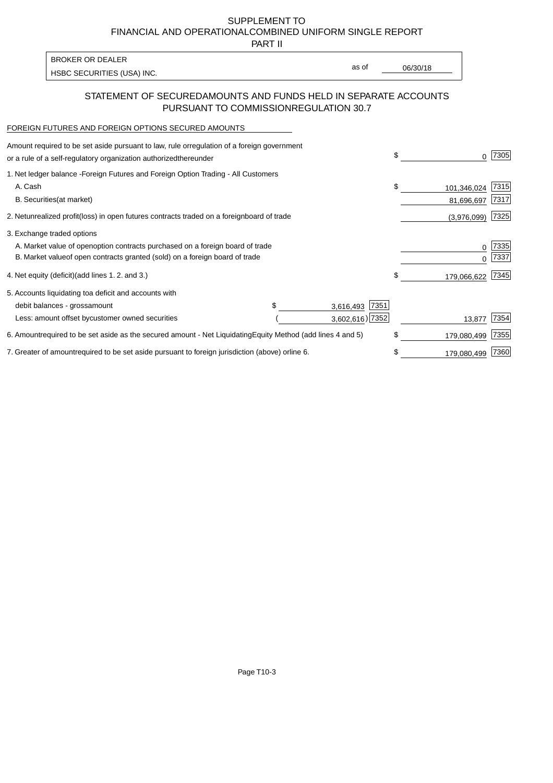PART II

HSBC SECURITIES (USA) INC. The state of the second second second second second second second second second second second second second second second second second second second second second second second second second sec BROKER OR DEALER

as of

### STATEMENT OF SECURED AMOUNTS AND FUNDS HELD IN SEPARATE ACCOUNTS PURSUANT TO COMMISSION REGULATION 30.7

#### FOREIGN FUTURES AND FOREIGN OPTIONS SECURED AMOUNTS

| regulation of a foreign government<br>Amount required to be set aside pursuant to law, rule or<br>or a rule of a self-regulatory organization authorized<br>thereunder                       |                                   |                                      | \$                              | 7305         |
|----------------------------------------------------------------------------------------------------------------------------------------------------------------------------------------------|-----------------------------------|--------------------------------------|---------------------------------|--------------|
| 1. Net ledger balance - Foreign Futures and Foreign Option Trading - All Customers<br>A. Cash<br><b>B.</b> Securities<br>(at market)                                                         |                                   |                                      | \$<br>101,346,024<br>81,696,697 | 7315<br>7317 |
| unrealized profit (loss) in open futures contracts traded on a foreign<br>2. Net                                                                                                             | board of trade                    |                                      | (3,976,099)                     | 7325         |
| 3. Exchange traded options<br>A. Market value of open option contracts purchased on a foreign board of trade<br>B. Market value of open contracts granted (sold) on a foreign board of trade |                                   |                                      | $\Omega$                        | 7335<br>7337 |
| (add lines 1.2. and 3.)<br>4. Net equity (deficit)                                                                                                                                           |                                   |                                      | \$<br>179,066,622               | 7345         |
| 5. Accounts liquidating to<br>a deficit and accounts with<br>debit balances - gross<br>amount<br>Less: amount offset by<br>customer owned securities                                         |                                   | 7351<br>3,616,493<br>3,602,616) 7352 | 13,877                          | 7354         |
| 6. Amount required to be set aside as the secured amount - Net Liquidating                                                                                                                   | Equity Method (add lines 4 and 5) |                                      | \$<br>179,080,499               | 7355         |
| 7. Greater of amount required to be set aside pursuant to foreign jurisdiction (above) or line 6.                                                                                            |                                   |                                      | 179,080,499                     | 7360         |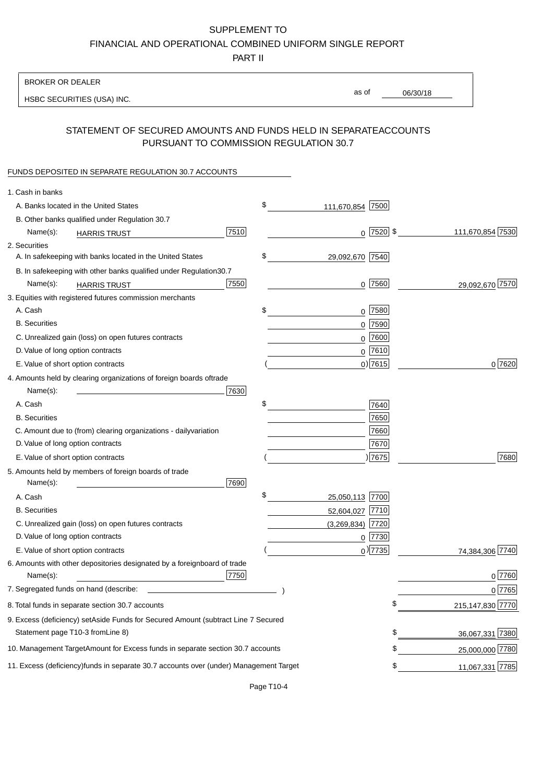PART II

| <b>BROKER OR DEALER</b>                                                                           |                        |                 |                  |        |
|---------------------------------------------------------------------------------------------------|------------------------|-----------------|------------------|--------|
| HSBC SECURITIES (USA) INC.                                                                        | as of                  | 06/30/18        |                  |        |
| STATEMENT OF SECURED AMOUNTS AND FUNDS HELD IN SEPARATE<br>PURSUANT TO COMMISSION REGULATION 30.7 |                        | <b>ACCOUNTS</b> |                  |        |
| FUNDS DEPOSITED IN SEPARATE REGULATION 30.7 ACCOUNTS                                              |                        |                 |                  |        |
| 1. Cash in banks                                                                                  |                        |                 |                  |        |
| A. Banks located in the United States                                                             | \$<br>111,670,854 7500 |                 |                  |        |
| B. Other banks qualified under Regulation 30.7                                                    |                        |                 |                  |        |
| 7510<br>Name(s):<br><b>HARRIS TRUST</b>                                                           |                        | $0$ 7520 \$     | 111,670,854 7530 |        |
| 2. Securities                                                                                     |                        |                 |                  |        |
| A. In safekeeping with banks located in the United States                                         | \$<br>29,092,670 7540  |                 |                  |        |
| 30.7<br>B. In safekeeping with other banks qualified under Regulation                             |                        |                 |                  |        |
| 7550<br>Name(s):<br><b>HARRIS TRUST</b>                                                           |                        | $0$ 7560        | 29,092,670 7570  |        |
| 3. Equities with registered futures commission merchants                                          |                        |                 |                  |        |
| A. Cash                                                                                           | \$                     | $0$ 7580        |                  |        |
| <b>B.</b> Securities                                                                              |                        | $0$ 7590        |                  |        |
| C. Unrealized gain (loss) on open futures contracts                                               |                        | 0 7600          |                  |        |
| D. Value of long option contracts                                                                 |                        | $0$ 7610        |                  |        |
| E. Value of short option contracts                                                                |                        | $0)$ 7615       |                  | 0 7620 |
| 4. Amounts held by clearing organizations of foreign boards of<br>trade                           |                        |                 |                  |        |
| Name(s):<br>7630                                                                                  |                        |                 |                  |        |
| A. Cash                                                                                           | \$                     | 7640            |                  |        |
| <b>B.</b> Securities                                                                              |                        | 7650            |                  |        |
| C. Amount due to (from) clearing organizations - daily<br>variation                               |                        | 7660            |                  |        |
| D. Value of long option contracts                                                                 |                        | 7670            |                  |        |
| E. Value of short option contracts                                                                |                        | ) 7675          |                  | 7680   |
| 5. Amounts held by members of foreign boards of trade<br>Name(s):<br>7690                         |                        |                 |                  |        |
| A. Cash                                                                                           | \$<br>25,050,113 7700  |                 |                  |        |
| <b>B.</b> Securities                                                                              | 52,604,027 7710        |                 |                  |        |
| C. Unrealized gain (loss) on open futures contracts                                               | $(3,269,834)$ 7720     |                 |                  |        |
| D. Value of long option contracts                                                                 |                        | $0$ 7730        |                  |        |
| E. Value of short option contracts                                                                |                        | $_0$ ) 7735     | 74,384,306 7740  |        |
| 6. Amounts with other depositories designated by a foreign<br>board of trade<br>7750<br>Name(s):  |                        |                 |                  | 0 7760 |
| 7. Segregated funds on hand (describe:                                                            |                        |                 |                  | 0 7765 |
| 8. Total funds in separate section 30.7 accounts                                                  |                        | \$              | 215,147,830 7770 |        |
| 9. Excess (deficiency) set Aside Funds for Secured Amount (subtract Line 7 Secured                |                        |                 |                  |        |
| Statement page T10-3 from Line 8)                                                                 |                        | \$              | 36,067,331 7380  |        |
| 10. Management Target Amount for Excess funds in separate section 30.7 accounts                   |                        | \$              | 25,000,000 7780  |        |
| 11. Excess (deficiency) funds in separate 30.7 accounts over (under) Management Target            |                        | \$              | 11,067,331 7785  |        |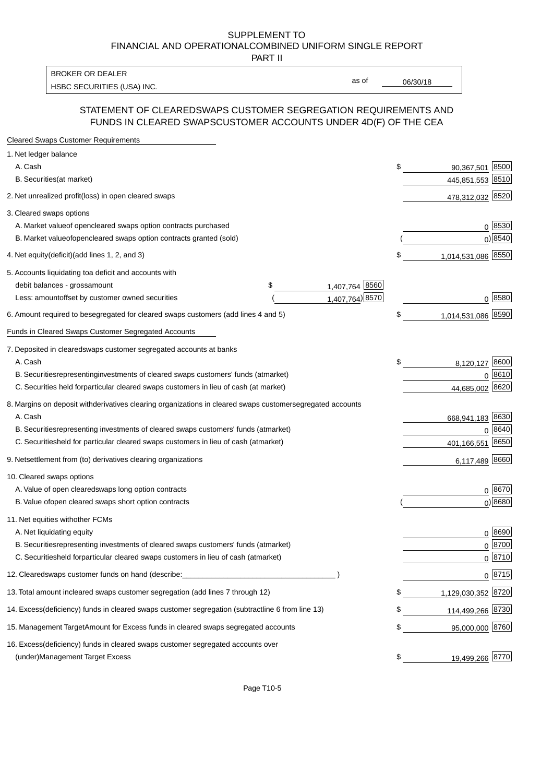PART II

HSBC SECURITIES (USA) INC. The contract of the contract of the contract of the contract of the contract of the contract of the contract of the contract of the contract of the contract of the contract of the contract of the BROKER OR DEALER

as of

#### STATEMENT OF CLEARED SWAPS CUSTOMER SEGREGATION REQUIREMENTS AND FUNDS IN CLEARED SWAPS CUSTOMER ACCOUNTS UNDER 4D(F) OF THE CEA

| <b>Cleared Swaps Customer Requirements</b>                                                                  |    |                     |
|-------------------------------------------------------------------------------------------------------------|----|---------------------|
| 1. Net ledger balance                                                                                       |    |                     |
| A. Cash                                                                                                     | \$ | 8500<br>90,367,501  |
| B. Securities (at market)                                                                                   |    | 445,851,553 8510    |
| 2. Net unrealized profit (loss) in open cleared swaps                                                       |    | 478,312,032 8520    |
| 3. Cleared swaps options                                                                                    |    |                     |
| A. Market value of open cleared swaps option contracts purchased                                            |    | 0   8530            |
| B. Market value of open cleared swaps option contracts granted (sold)                                       |    | $0)$ 8540           |
| 4. Net equity (deficit) (add lines 1, 2, and 3)                                                             | \$ | 1,014,531,086 8550  |
| 5. Accounts liquidating to a deficit and accounts with                                                      |    |                     |
| 1,407,764 8560<br>debit balances - gross amount<br>\$                                                       |    |                     |
| 1,407,764) 8570<br>Less: amount offset by customer owned securities                                         |    | 0 8580              |
| 6. Amount required to be segregated for cleared swaps customers (add lines 4 and 5)                         | \$ | 1,014,531,086 8590  |
| Funds in Cleared Swaps Customer Segregated Accounts                                                         |    |                     |
| 7. Deposited in cleared swaps customer segregated accounts at banks                                         |    |                     |
| A. Cash                                                                                                     | \$ | 8,120,127 8600      |
| B. Securities representing investments of cleared swaps customers' funds (at market)                        |    | 0 8610              |
| C. Securities held for particular cleared swaps customers in lieu of cash (at market)                       |    | 44,685,002 8620     |
| 8. Margins on deposit with derivatives clearing organizations in cleared swaps customer segregated accounts |    |                     |
| A. Cash                                                                                                     |    | 668,941,183 8630    |
| B. Securities representing investments of cleared swaps customers' funds (at market)                        |    | 8640<br>0           |
| C. Securities<br>held for particular cleared swaps customers in lieu of cash (at market)                    |    | 8650<br>401,166,551 |
| 9. Net settlement from (to) derivatives clearing organizations                                              |    | 6,117,489 8660      |
| 10. Cleared swaps options                                                                                   |    |                     |
| A. Value of open cleared swaps long option contracts                                                        |    | $0^{8670}$          |
| B. Value of open cleared swaps short option contracts                                                       |    | $0$ ) 8680          |
| 11. Net equities with other FCMs                                                                            |    |                     |
| A. Net liquidating equity                                                                                   |    | $0^{8690}$          |
| B. Securities representing investments of cleared swaps customers' funds (at market)                        |    | $0^{8700}$          |
| C. Securities held for particular cleared swaps customers in lieu of cash (at market)                       |    | 0 8710              |
| 12. Cleared swaps customer funds on hand (describe:                                                         |    | $0 \;  8715 $       |
| 13. Total amount in cleared swaps customer segregation (add lines 7 through 12)                             | S  | 1,129,030,352 8720  |
| 14. Excess (deficiency) funds in cleared swaps customer segregation (subtract line 6 from line 13)          |    | 114,499,266 8730    |
| 15. Management Target Amount for Excess funds in cleared swaps segregated accounts                          | \$ | 95,000,000 8760     |
| 16. Excess<br>(deficiency) funds in cleared swaps customer segregated accounts over                         |    |                     |
| <b>Management Target Excess</b><br>(under)                                                                  | \$ | 19,499,266 8770     |